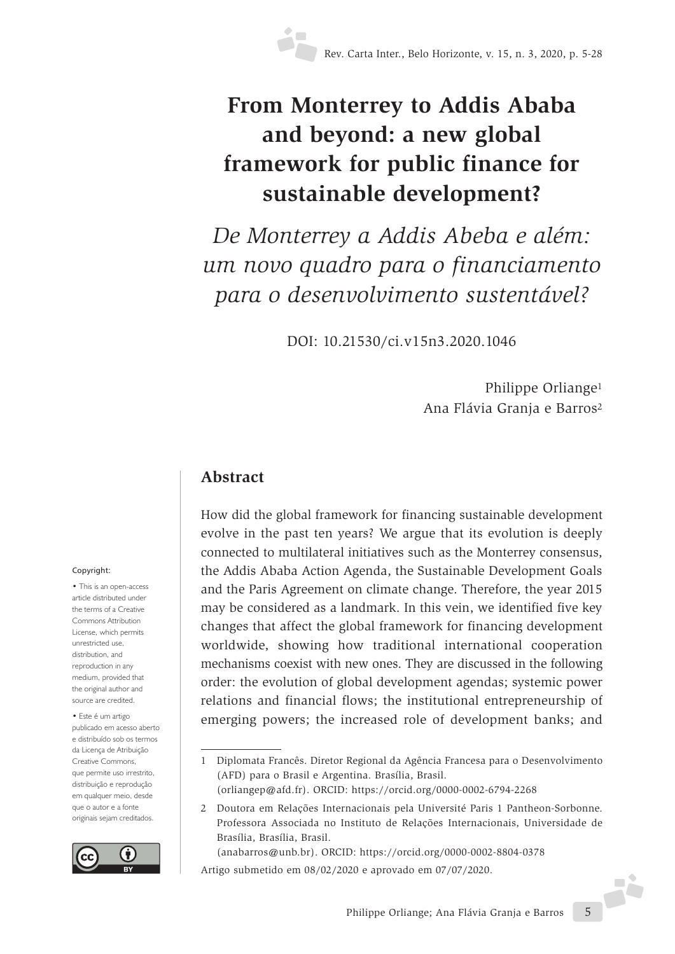# **From Monterrey to Addis Ababa and beyond: a new global framework for public finance for sustainable development?**

*De Monterrey a Addis Abeba e além: um novo quadro para o financiamento para o desenvolvimento sustentável?*

DOI: 10.21530/ci.v15n3.2020.1046

Philippe Orliange1 Ana Flávia Granja e Barros2

#### **Abstract**

How did the global framework for financing sustainable development evolve in the past ten years? We argue that its evolution is deeply connected to multilateral initiatives such as the Monterrey consensus, the Addis Ababa Action Agenda, the Sustainable Development Goals and the Paris Agreement on climate change. Therefore, the year 2015 may be considered as a landmark. In this vein, we identified five key changes that affect the global framework for financing development worldwide, showing how traditional international cooperation mechanisms coexist with new ones. They are discussed in the following order: the evolution of global development agendas; systemic power relations and financial flows; the institutional entrepreneurship of emerging powers; the increased role of development banks; and

Artigo submetido em 08/02/2020 e aprovado em 07/07/2020.

#### Copyright:

• This is an open-access article distributed under the terms of a Creative Commons Attribution License, which permits unrestricted use, distribution, and reproduction in any medium, provided that the original author and source are credited.

• Este é um artigo publicado em acesso aberto e distribuído sob os termos da Licença de Atribuição Creative Commons, que permite uso irrestrito, distribuição e reprodução em qualquer meio, desde que o autor e a fonte originais sejam creditados.



<sup>1</sup> Diplomata Francês. Diretor Regional da Agência Francesa para o Desenvolvimento (AFD) para o Brasil e Argentina. Brasília, Brasil.

<sup>(</sup>orliangep@afd.fr). ORCID: https://orcid.org/0000-0002-6794-2268

<sup>2</sup> Doutora em Relações Internacionais pela Université Paris 1 Pantheon-Sorbonne. Professora Associada no Instituto de Relações Internacionais, Universidade de Brasília, Brasília, Brasil.

<sup>(</sup>anabarros@unb.br). ORCID: https://orcid.org/0000-0002-8804-0378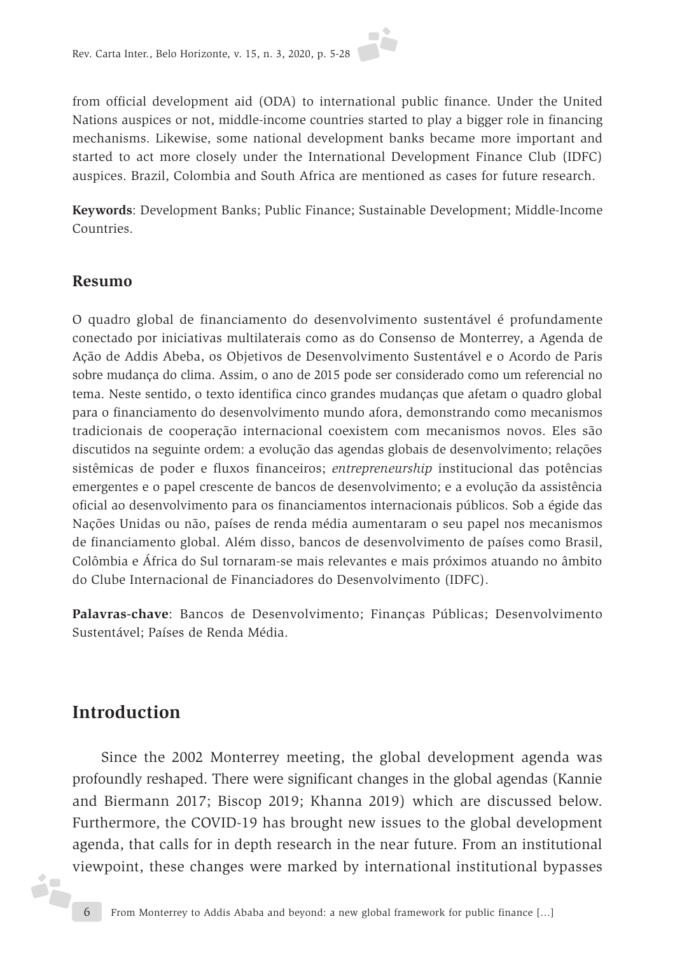from official development aid (ODA) to international public finance. Under the United Nations auspices or not, middle-income countries started to play a bigger role in financing mechanisms. Likewise, some national development banks became more important and started to act more closely under the International Development Finance Club (IDFC) auspices. Brazil, Colombia and South Africa are mentioned as cases for future research.

**Keywords**: Development Banks; Public Finance; Sustainable Development; Middle-Income Countries.

#### **Resumo**

O quadro global de financiamento do desenvolvimento sustentável é profundamente conectado por iniciativas multilaterais como as do Consenso de Monterrey, a Agenda de Ação de Addis Abeba, os Objetivos de Desenvolvimento Sustentável e o Acordo de Paris sobre mudança do clima. Assim, o ano de 2015 pode ser considerado como um referencial no tema. Neste sentido, o texto identifica cinco grandes mudanças que afetam o quadro global para o financiamento do desenvolvimento mundo afora, demonstrando como mecanismos tradicionais de cooperação internacional coexistem com mecanismos novos. Eles são discutidos na seguinte ordem: a evolução das agendas globais de desenvolvimento; relações sistêmicas de poder e fluxos financeiros; *entrepreneurship* institucional das potências emergentes e o papel crescente de bancos de desenvolvimento; e a evolução da assistência oficial ao desenvolvimento para os financiamentos internacionais públicos. Sob a égide das Nações Unidas ou não, países de renda média aumentaram o seu papel nos mecanismos de financiamento global. Além disso, bancos de desenvolvimento de países como Brasil, Colômbia e África do Sul tornaram-se mais relevantes e mais próximos atuando no âmbito do Clube Internacional de Financiadores do Desenvolvimento (IDFC).

**Palavras-chave**: Bancos de Desenvolvimento; Finanças Públicas; Desenvolvimento Sustentável; Países de Renda Média.

# **Introduction**

Since the 2002 Monterrey meeting, the global development agenda was profoundly reshaped. There were significant changes in the global agendas (Kannie and Biermann 2017; Biscop 2019; Khanna 2019) which are discussed below. Furthermore, the COVID-19 has brought new issues to the global development agenda, that calls for in depth research in the near future. From an institutional viewpoint, these changes were marked by international institutional bypasses

ó7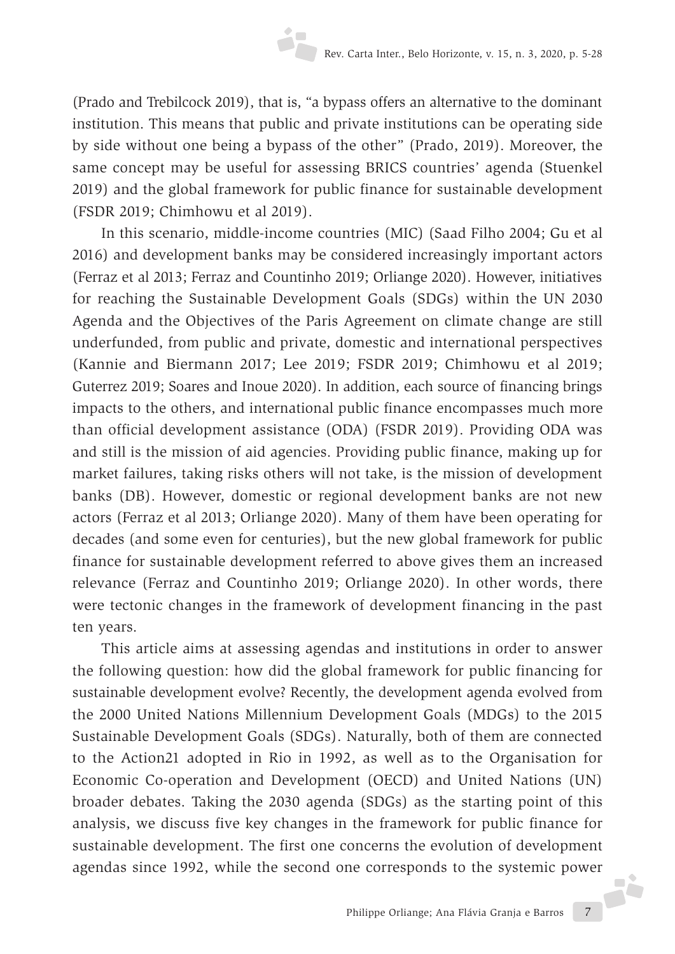(Prado and Trebilcock 2019), that is, "a bypass offers an alternative to the dominant institution. This means that public and private institutions can be operating side by side without one being a bypass of the other" (Prado, 2019). Moreover, the same concept may be useful for assessing BRICS countries' agenda (Stuenkel 2019) and the global framework for public finance for sustainable development (FSDR 2019; Chimhowu et al 2019).

In this scenario, middle-income countries (MIC) (Saad Filho 2004; Gu et al 2016) and development banks may be considered increasingly important actors (Ferraz et al 2013; Ferraz and Countinho 2019; Orliange 2020). However, initiatives for reaching the Sustainable Development Goals (SDGs) within the UN 2030 Agenda and the Objectives of the Paris Agreement on climate change are still underfunded, from public and private, domestic and international perspectives (Kannie and Biermann 2017; Lee 2019; FSDR 2019; Chimhowu et al 2019; Guterrez 2019; Soares and Inoue 2020). In addition, each source of financing brings impacts to the others, and international public finance encompasses much more than official development assistance (ODA) (FSDR 2019). Providing ODA was and still is the mission of aid agencies. Providing public finance, making up for market failures, taking risks others will not take, is the mission of development banks (DB). However, domestic or regional development banks are not new actors (Ferraz et al 2013; Orliange 2020). Many of them have been operating for decades (and some even for centuries), but the new global framework for public finance for sustainable development referred to above gives them an increased relevance (Ferraz and Countinho 2019; Orliange 2020). In other words, there were tectonic changes in the framework of development financing in the past ten years.

Philippe Orliange; Ana Flávia Granja e Barros 7 This article aims at assessing agendas and institutions in order to answer the following question: how did the global framework for public financing for sustainable development evolve? Recently, the development agenda evolved from the 2000 United Nations Millennium Development Goals (MDGs) to the 2015 Sustainable Development Goals (SDGs). Naturally, both of them are connected to the Action21 adopted in Rio in 1992, as well as to the Organisation for Economic Co-operation and Development (OECD) and United Nations (UN) broader debates. Taking the 2030 agenda (SDGs) as the starting point of this analysis, we discuss five key changes in the framework for public finance for sustainable development. The first one concerns the evolution of development agendas since 1992, while the second one corresponds to the systemic power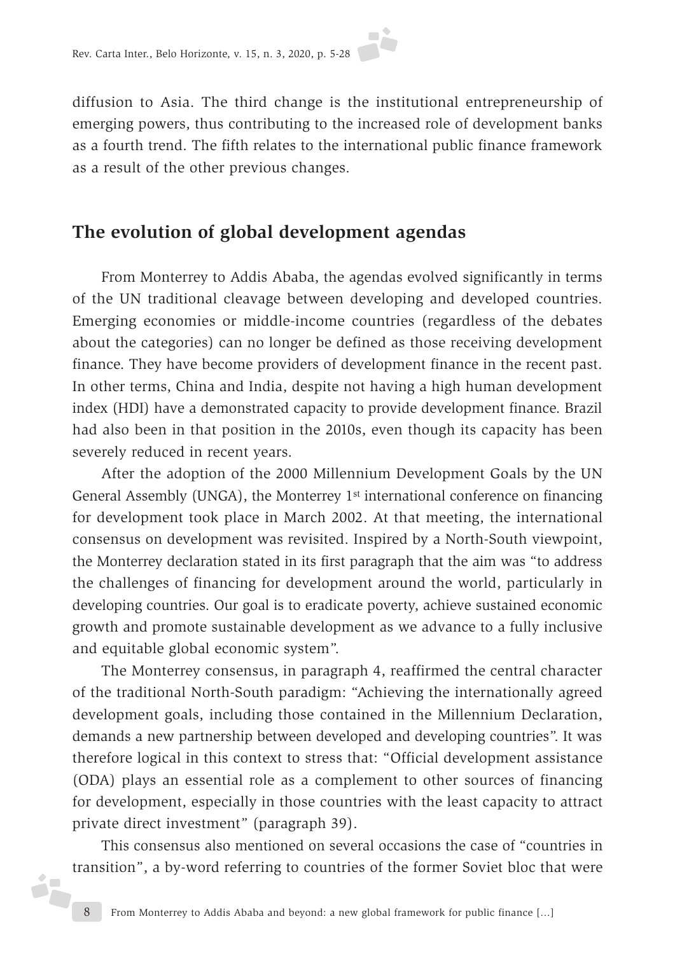diffusion to Asia. The third change is the institutional entrepreneurship of emerging powers, thus contributing to the increased role of development banks as a fourth trend. The fifth relates to the international public finance framework as a result of the other previous changes.

# **The evolution of global development agendas**

From Monterrey to Addis Ababa, the agendas evolved significantly in terms of the UN traditional cleavage between developing and developed countries. Emerging economies or middle-income countries (regardless of the debates about the categories) can no longer be defined as those receiving development finance. They have become providers of development finance in the recent past. In other terms, China and India, despite not having a high human development index (HDI) have a demonstrated capacity to provide development finance. Brazil had also been in that position in the 2010s, even though its capacity has been severely reduced in recent years.

After the adoption of the 2000 Millennium Development Goals by the UN General Assembly (UNGA), the Monterrey 1<sup>st</sup> international conference on financing for development took place in March 2002. At that meeting, the international consensus on development was revisited. Inspired by a North-South viewpoint, the Monterrey declaration stated in its first paragraph that the aim was "to address the challenges of financing for development around the world, particularly in developing countries. Our goal is to eradicate poverty, achieve sustained economic growth and promote sustainable development as we advance to a fully inclusive and equitable global economic system".

The Monterrey consensus, in paragraph 4, reaffirmed the central character of the traditional North-South paradigm: "Achieving the internationally agreed development goals, including those contained in the Millennium Declaration, demands a new partnership between developed and developing countries". It was therefore logical in this context to stress that: "Official development assistance (ODA) plays an essential role as a complement to other sources of financing for development, especially in those countries with the least capacity to attract private direct investment" (paragraph 39).

This consensus also mentioned on several occasions the case of "countries in transition", a by-word referring to countries of the former Soviet bloc that were

i7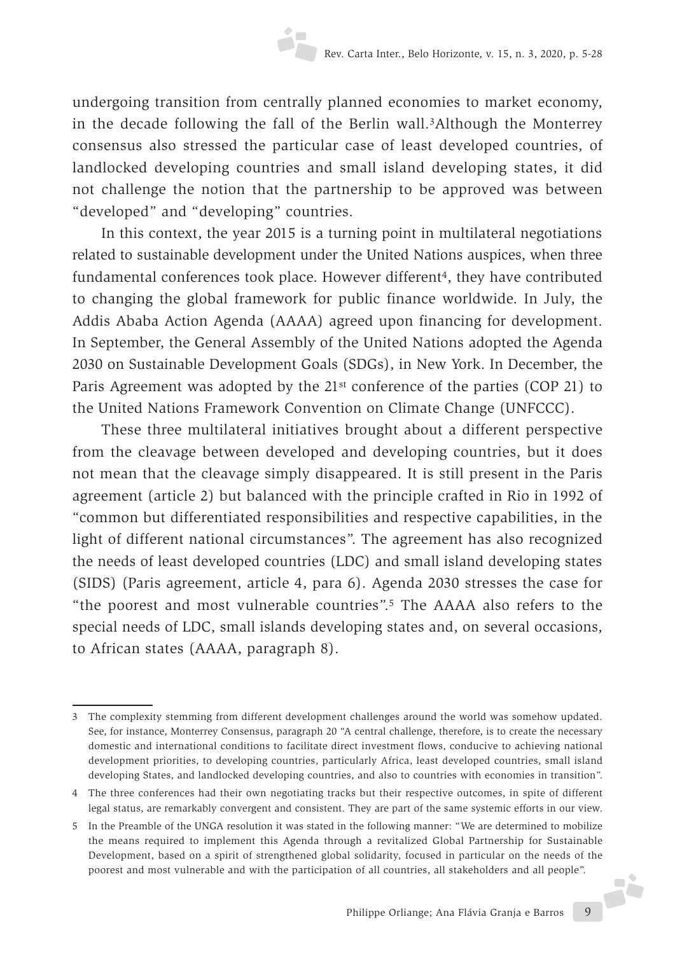undergoing transition from centrally planned economies to market economy, in the decade following the fall of the Berlin wall.3Although the Monterrey consensus also stressed the particular case of least developed countries, of landlocked developing countries and small island developing states, it did not challenge the notion that the partnership to be approved was between "developed" and "developing" countries.

In this context, the year 2015 is a turning point in multilateral negotiations related to sustainable development under the United Nations auspices, when three fundamental conferences took place. However different<sup>4</sup>, they have contributed to changing the global framework for public finance worldwide. In July, the Addis Ababa Action Agenda (AAAA) agreed upon financing for development. In September, the General Assembly of the United Nations adopted the Agenda 2030 on Sustainable Development Goals (SDGs), in New York. In December, the Paris Agreement was adopted by the 21st conference of the parties (COP 21) to the United Nations Framework Convention on Climate Change (UNFCCC).

These three multilateral initiatives brought about a different perspective from the cleavage between developed and developing countries, but it does not mean that the cleavage simply disappeared. It is still present in the Paris agreement (article 2) but balanced with the principle crafted in Rio in 1992 of "common but differentiated responsibilities and respective capabilities, in the light of different national circumstances". The agreement has also recognized the needs of least developed countries (LDC) and small island developing states (SIDS) (Paris agreement, article 4, para 6). Agenda 2030 stresses the case for "the poorest and most vulnerable countries".5 The AAAA also refers to the special needs of LDC, small islands developing states and, on several occasions, to African states (AAAA, paragraph 8).

<sup>3</sup> The complexity stemming from different development challenges around the world was somehow updated. See, for instance, Monterrey Consensus, paragraph 20 "A central challenge, therefore, is to create the necessary domestic and international conditions to facilitate direct investment flows, conducive to achieving national development priorities, to developing countries, particularly Africa, least developed countries, small island developing States, and landlocked developing countries, and also to countries with economies in transition".

<sup>4</sup> The three conferences had their own negotiating tracks but their respective outcomes, in spite of different legal status, are remarkably convergent and consistent. They are part of the same systemic efforts in our view.

Philippe Orliange; Ana Flávia Granja e Barros 9 5 In the Preamble of the UNGA resolution it was stated in the following manner: "We are determined to mobilize the means required to implement this Agenda through a revitalized Global Partnership for Sustainable Development, based on a spirit of strengthened global solidarity, focused in particular on the needs of the poorest and most vulnerable and with the participation of all countries, all stakeholders and all people".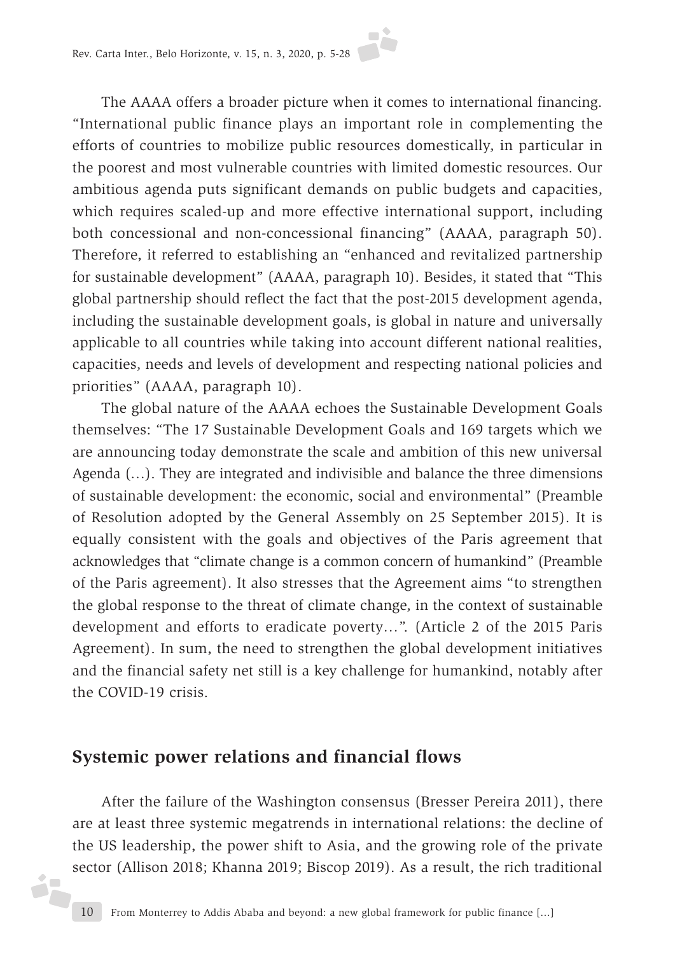The AAAA offers a broader picture when it comes to international financing. "International public finance plays an important role in complementing the efforts of countries to mobilize public resources domestically, in particular in the poorest and most vulnerable countries with limited domestic resources. Our ambitious agenda puts significant demands on public budgets and capacities, which requires scaled-up and more effective international support, including both concessional and non-concessional financing" (AAAA, paragraph 50). Therefore, it referred to establishing an "enhanced and revitalized partnership for sustainable development" (AAAA, paragraph 10). Besides, it stated that "This global partnership should reflect the fact that the post-2015 development agenda, including the sustainable development goals, is global in nature and universally applicable to all countries while taking into account different national realities, capacities, needs and levels of development and respecting national policies and priorities" (AAAA, paragraph 10).

The global nature of the AAAA echoes the Sustainable Development Goals themselves: "The 17 Sustainable Development Goals and 169 targets which we are announcing today demonstrate the scale and ambition of this new universal Agenda (…). They are integrated and indivisible and balance the three dimensions of sustainable development: the economic, social and environmental" (Preamble of Resolution adopted by the General Assembly on 25 September 2015). It is equally consistent with the goals and objectives of the Paris agreement that acknowledges that "climate change is a common concern of humankind" (Preamble of the Paris agreement). It also stresses that the Agreement aims "to strengthen the global response to the threat of climate change, in the context of sustainable development and efforts to eradicate poverty…". (Article 2 of the 2015 Paris Agreement). In sum, the need to strengthen the global development initiatives and the financial safety net still is a key challenge for humankind, notably after the COVID-19 crisis.

#### **Systemic power relations and financial flows**

i7

After the failure of the Washington consensus (Bresser Pereira 2011), there are at least three systemic megatrends in international relations: the decline of the US leadership, the power shift to Asia, and the growing role of the private sector (Allison 2018; Khanna 2019; Biscop 2019). As a result, the rich traditional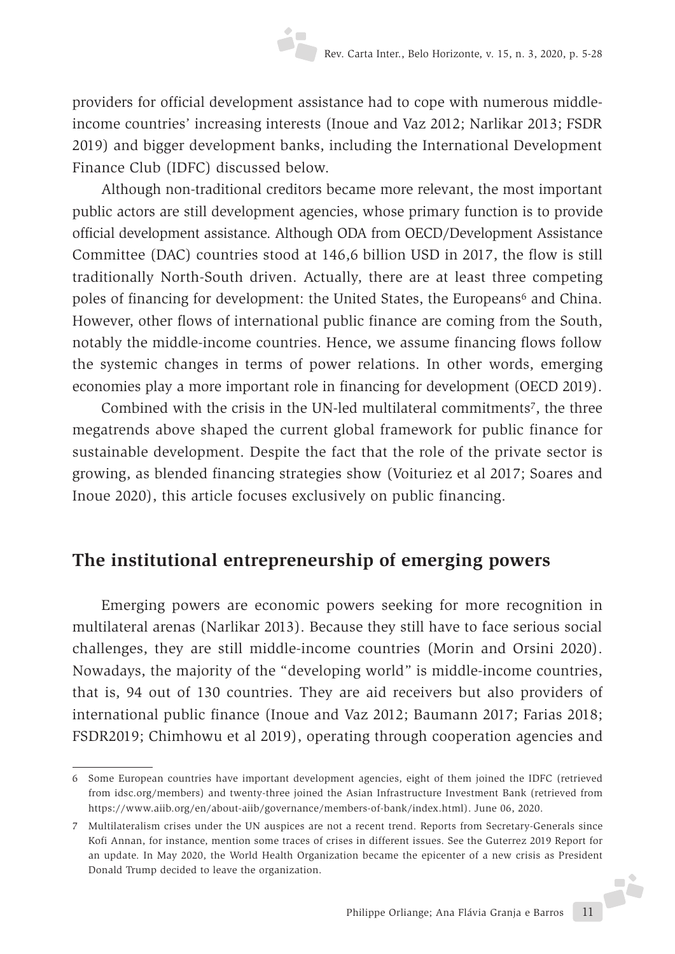providers for official development assistance had to cope with numerous middleincome countries' increasing interests (Inoue and Vaz 2012; Narlikar 2013; FSDR 2019) and bigger development banks, including the International Development Finance Club (IDFC) discussed below.

Although non-traditional creditors became more relevant, the most important public actors are still development agencies, whose primary function is to provide official development assistance. Although ODA from OECD/Development Assistance Committee (DAC) countries stood at 146,6 billion USD in 2017, the flow is still traditionally North-South driven. Actually, there are at least three competing poles of financing for development: the United States, the Europeans<sup>6</sup> and China. However, other flows of international public finance are coming from the South, notably the middle-income countries. Hence, we assume financing flows follow the systemic changes in terms of power relations. In other words, emerging economies play a more important role in financing for development (OECD 2019).

Combined with the crisis in the UN-led multilateral commitments<sup>7</sup>, the three megatrends above shaped the current global framework for public finance for sustainable development. Despite the fact that the role of the private sector is growing, as blended financing strategies show (Voituriez et al 2017; Soares and Inoue 2020), this article focuses exclusively on public financing.

# **The institutional entrepreneurship of emerging powers**

Emerging powers are economic powers seeking for more recognition in multilateral arenas (Narlikar 2013). Because they still have to face serious social challenges, they are still middle-income countries (Morin and Orsini 2020). Nowadays, the majority of the "developing world" is middle-income countries, that is, 94 out of 130 countries. They are aid receivers but also providers of international public finance (Inoue and Vaz 2012; Baumann 2017; Farias 2018; FSDR2019; Chimhowu et al 2019), operating through cooperation agencies and

<sup>6</sup> Some European countries have important development agencies, eight of them joined the IDFC (retrieved from idsc.org/members) and twenty-three joined the Asian Infrastructure Investment Bank (retrieved from https://www.aiib.org/en/about-aiib/governance/members-of-bank/index.html). June 06, 2020.

Philippe Orliange; Ana Flávia Granja e Barros 11 7 Multilateralism crises under the UN auspices are not a recent trend. Reports from Secretary-Generals since Kofi Annan, for instance, mention some traces of crises in different issues. See the Guterrez 2019 Report for an update. In May 2020, the World Health Organization became the epicenter of a new crisis as President Donald Trump decided to leave the organization.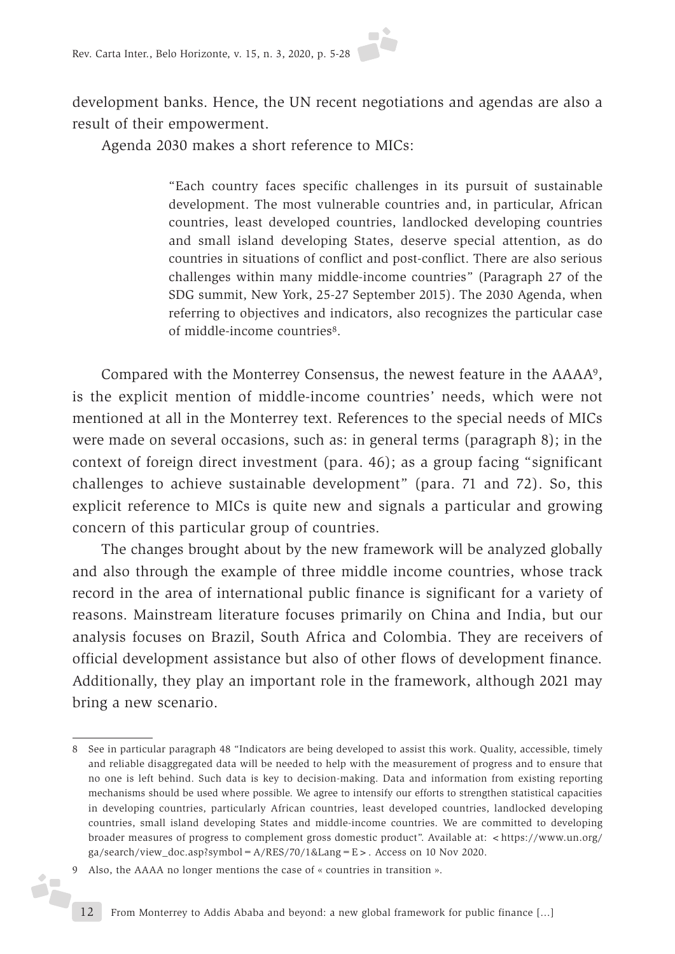development banks. Hence, the UN recent negotiations and agendas are also a result of their empowerment.

Agenda 2030 makes a short reference to MICs:

"Each country faces specific challenges in its pursuit of sustainable development. The most vulnerable countries and, in particular, African countries, least developed countries, landlocked developing countries and small island developing States, deserve special attention, as do countries in situations of conflict and post-conflict. There are also serious challenges within many middle-income countries" (Paragraph 27 of the SDG summit, New York, 25-27 September 2015). The 2030 Agenda, when referring to objectives and indicators, also recognizes the particular case of middle-income countries8.

Compared with the Monterrey Consensus, the newest feature in the AAAA9, is the explicit mention of middle-income countries' needs, which were not mentioned at all in the Monterrey text. References to the special needs of MICs were made on several occasions, such as: in general terms (paragraph 8); in the context of foreign direct investment (para. 46); as a group facing "significant challenges to achieve sustainable development" (para. 71 and 72). So, this explicit reference to MICs is quite new and signals a particular and growing concern of this particular group of countries.

The changes brought about by the new framework will be analyzed globally and also through the example of three middle income countries, whose track record in the area of international public finance is significant for a variety of reasons. Mainstream literature focuses primarily on China and India, but our analysis focuses on Brazil, South Africa and Colombia. They are receivers of official development assistance but also of other flows of development finance. Additionally, they play an important role in the framework, although 2021 may bring a new scenario.

ó,

<sup>8</sup> See in particular paragraph 48 "Indicators are being developed to assist this work. Quality, accessible, timely and reliable disaggregated data will be needed to help with the measurement of progress and to ensure that no one is left behind. Such data is key to decision-making. Data and information from existing reporting mechanisms should be used where possible. We agree to intensify our efforts to strengthen statistical capacities in developing countries, particularly African countries, least developed countries, landlocked developing countries, small island developing States and middle-income countries. We are committed to developing broader measures of progress to complement gross domestic product". Available at: <https://www.un.org/ ga/search/view\_doc.asp?symbol= $A/RES/70/1⟪=E>$ . Access on 10 Nov 2020.

<sup>9</sup> Also, the AAAA no longer mentions the case of « countries in transition ».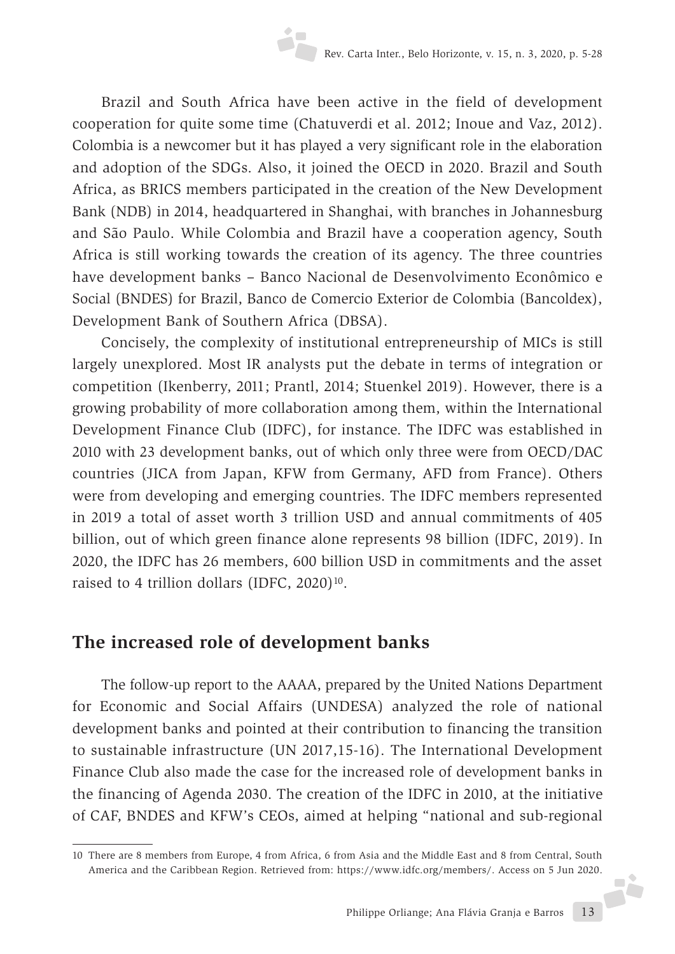Brazil and South Africa have been active in the field of development cooperation for quite some time (Chatuverdi et al. 2012; Inoue and Vaz, 2012). Colombia is a newcomer but it has played a very significant role in the elaboration and adoption of the SDGs. Also, it joined the OECD in 2020. Brazil and South Africa, as BRICS members participated in the creation of the New Development Bank (NDB) in 2014, headquartered in Shanghai, with branches in Johannesburg and São Paulo. While Colombia and Brazil have a cooperation agency, South Africa is still working towards the creation of its agency. The three countries have development banks – Banco Nacional de Desenvolvimento Econômico e Social (BNDES) for Brazil, Banco de Comercio Exterior de Colombia (Bancoldex), Development Bank of Southern Africa (DBSA).

Concisely, the complexity of institutional entrepreneurship of MICs is still largely unexplored. Most IR analysts put the debate in terms of integration or competition (Ikenberry, 2011; Prantl, 2014; Stuenkel 2019). However, there is a growing probability of more collaboration among them, within the International Development Finance Club (IDFC), for instance. The IDFC was established in 2010 with 23 development banks, out of which only three were from OECD/DAC countries (JICA from Japan, KFW from Germany, AFD from France). Others were from developing and emerging countries. The IDFC members represented in 2019 a total of asset worth 3 trillion USD and annual commitments of 405 billion, out of which green finance alone represents 98 billion (IDFC, 2019). In 2020, the IDFC has 26 members, 600 billion USD in commitments and the asset raised to 4 trillion dollars (IDFC, 2020)<sup>10</sup>.

# **The increased role of development banks**

The follow-up report to the AAAA, prepared by the United Nations Department for Economic and Social Affairs (UNDESA) analyzed the role of national development banks and pointed at their contribution to financing the transition to sustainable infrastructure (UN 2017,15-16). The International Development Finance Club also made the case for the increased role of development banks in the financing of Agenda 2030. The creation of the IDFC in 2010, at the initiative of CAF, BNDES and KFW's CEOs, aimed at helping "national and sub-regional

<sup>10</sup> There are 8 members from Europe, 4 from Africa, 6 from Asia and the Middle East and 8 from Central, South America and the Caribbean Region. Retrieved from: https://www.idfc.org/members/. Access on 5 Jun 2020.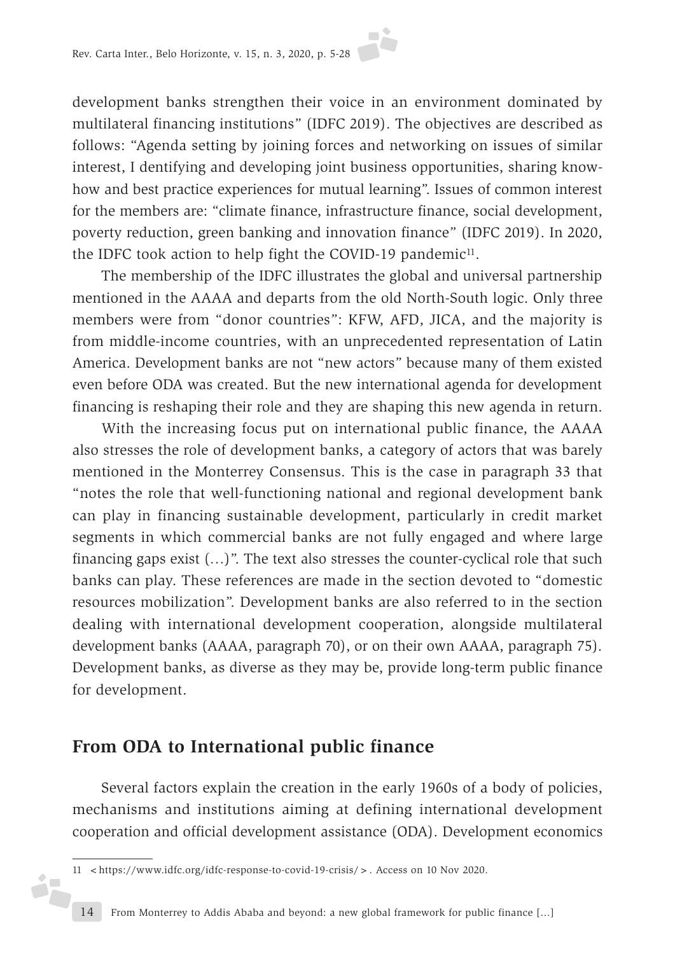development banks strengthen their voice in an environment dominated by multilateral financing institutions" (IDFC 2019). The objectives are described as follows: "Agenda setting by joining forces and networking on issues of similar interest, I dentifying and developing joint business opportunities, sharing knowhow and best practice experiences for mutual learning". Issues of common interest for the members are: "climate finance, infrastructure finance, social development, poverty reduction, green banking and innovation finance" (IDFC 2019). In 2020, the IDFC took action to help fight the COVID-19 pandemic<sup>11</sup>.

The membership of the IDFC illustrates the global and universal partnership mentioned in the AAAA and departs from the old North-South logic. Only three members were from "donor countries": KFW, AFD, JICA, and the majority is from middle-income countries, with an unprecedented representation of Latin America. Development banks are not "new actors" because many of them existed even before ODA was created. But the new international agenda for development financing is reshaping their role and they are shaping this new agenda in return.

With the increasing focus put on international public finance, the AAAA also stresses the role of development banks, a category of actors that was barely mentioned in the Monterrey Consensus. This is the case in paragraph 33 that "notes the role that well-functioning national and regional development bank can play in financing sustainable development, particularly in credit market segments in which commercial banks are not fully engaged and where large financing gaps exist (…)". The text also stresses the counter-cyclical role that such banks can play. These references are made in the section devoted to "domestic resources mobilization". Development banks are also referred to in the section dealing with international development cooperation, alongside multilateral development banks (AAAA, paragraph 70), or on their own AAAA, paragraph 75). Development banks, as diverse as they may be, provide long-term public finance for development.

### **From ODA to International public finance**

éF

Several factors explain the creation in the early 1960s of a body of policies, mechanisms and institutions aiming at defining international development cooperation and official development assistance (ODA). Development economics

<sup>11</sup> <https://www.idfc.org/idfc-response-to-covid-19-crisis/>. Access on 10 Nov 2020.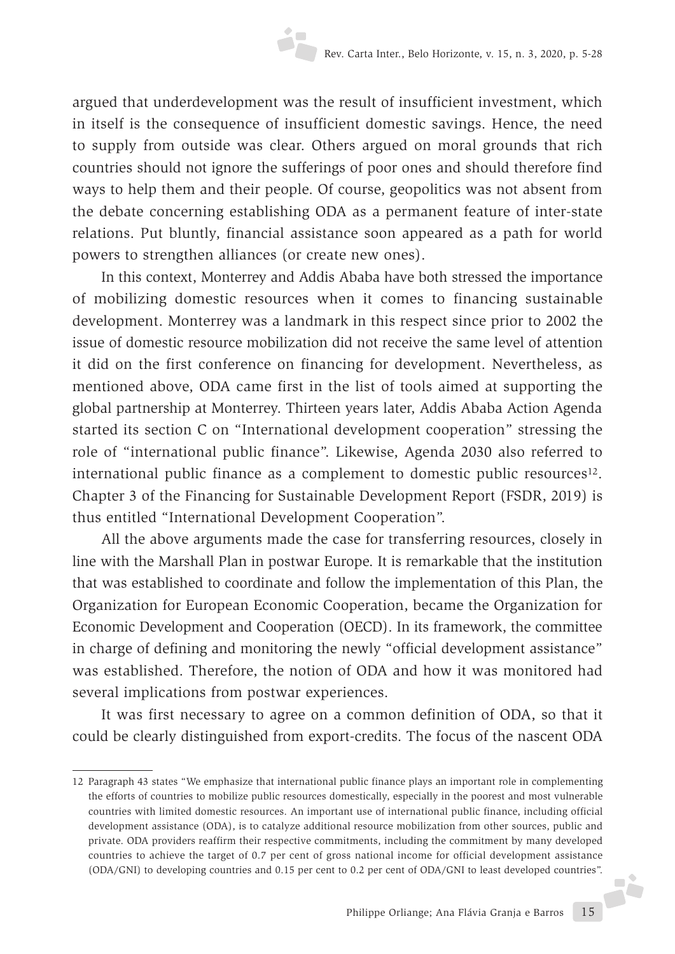argued that underdevelopment was the result of insufficient investment, which in itself is the consequence of insufficient domestic savings. Hence, the need to supply from outside was clear. Others argued on moral grounds that rich countries should not ignore the sufferings of poor ones and should therefore find ways to help them and their people. Of course, geopolitics was not absent from the debate concerning establishing ODA as a permanent feature of inter-state relations. Put bluntly, financial assistance soon appeared as a path for world powers to strengthen alliances (or create new ones).

In this context, Monterrey and Addis Ababa have both stressed the importance of mobilizing domestic resources when it comes to financing sustainable development. Monterrey was a landmark in this respect since prior to 2002 the issue of domestic resource mobilization did not receive the same level of attention it did on the first conference on financing for development. Nevertheless, as mentioned above, ODA came first in the list of tools aimed at supporting the global partnership at Monterrey. Thirteen years later, Addis Ababa Action Agenda started its section C on "International development cooperation" stressing the role of "international public finance". Likewise, Agenda 2030 also referred to international public finance as a complement to domestic public resources<sup>12</sup>. Chapter 3 of the Financing for Sustainable Development Report (FSDR, 2019) is thus entitled "International Development Cooperation".

All the above arguments made the case for transferring resources, closely in line with the Marshall Plan in postwar Europe. It is remarkable that the institution that was established to coordinate and follow the implementation of this Plan, the Organization for European Economic Cooperation, became the Organization for Economic Development and Cooperation (OECD). In its framework, the committee in charge of defining and monitoring the newly "official development assistance" was established. Therefore, the notion of ODA and how it was monitored had several implications from postwar experiences.

It was first necessary to agree on a common definition of ODA, so that it could be clearly distinguished from export-credits. The focus of the nascent ODA

Philippe Orliange; Ana Flávia Granja e Barros 15 12 Paragraph 43 states "We emphasize that international public finance plays an important role in complementing the efforts of countries to mobilize public resources domestically, especially in the poorest and most vulnerable countries with limited domestic resources. An important use of international public finance, including official development assistance (ODA), is to catalyze additional resource mobilization from other sources, public and private. ODA providers reaffirm their respective commitments, including the commitment by many developed countries to achieve the target of 0.7 per cent of gross national income for official development assistance (ODA/GNI) to developing countries and 0.15 per cent to 0.2 per cent of ODA/GNI to least developed countries".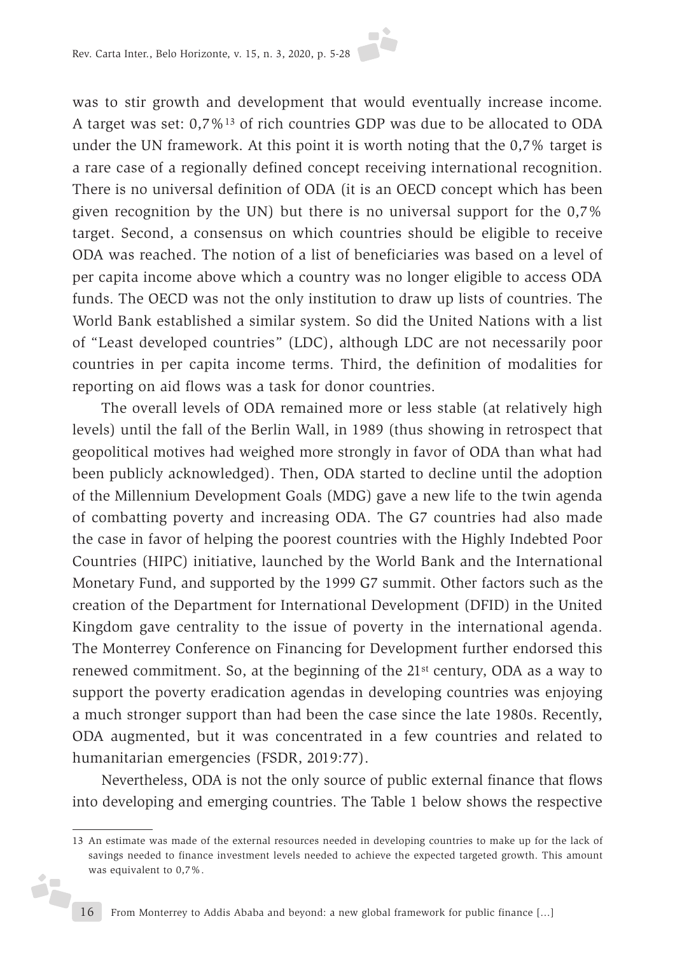was to stir growth and development that would eventually increase income. A target was set: 0,7%13 of rich countries GDP was due to be allocated to ODA under the UN framework. At this point it is worth noting that the 0,7% target is a rare case of a regionally defined concept receiving international recognition. There is no universal definition of ODA (it is an OECD concept which has been given recognition by the UN) but there is no universal support for the 0,7% target. Second, a consensus on which countries should be eligible to receive ODA was reached. The notion of a list of beneficiaries was based on a level of per capita income above which a country was no longer eligible to access ODA funds. The OECD was not the only institution to draw up lists of countries. The World Bank established a similar system. So did the United Nations with a list of "Least developed countries" (LDC), although LDC are not necessarily poor countries in per capita income terms. Third, the definition of modalities for reporting on aid flows was a task for donor countries.

The overall levels of ODA remained more or less stable (at relatively high levels) until the fall of the Berlin Wall, in 1989 (thus showing in retrospect that geopolitical motives had weighed more strongly in favor of ODA than what had been publicly acknowledged). Then, ODA started to decline until the adoption of the Millennium Development Goals (MDG) gave a new life to the twin agenda of combatting poverty and increasing ODA. The G7 countries had also made the case in favor of helping the poorest countries with the Highly Indebted Poor Countries (HIPC) initiative, launched by the World Bank and the International Monetary Fund, and supported by the 1999 G7 summit. Other factors such as the creation of the Department for International Development (DFID) in the United Kingdom gave centrality to the issue of poverty in the international agenda. The Monterrey Conference on Financing for Development further endorsed this renewed commitment. So, at the beginning of the 21st century, ODA as a way to support the poverty eradication agendas in developing countries was enjoying a much stronger support than had been the case since the late 1980s. Recently, ODA augmented, but it was concentrated in a few countries and related to humanitarian emergencies (FSDR, 2019:77).

Nevertheless, ODA is not the only source of public external finance that flows into developing and emerging countries. The Table 1 below shows the respective

ó,

<sup>13</sup> An estimate was made of the external resources needed in developing countries to make up for the lack of savings needed to finance investment levels needed to achieve the expected targeted growth. This amount was equivalent to 0,7%.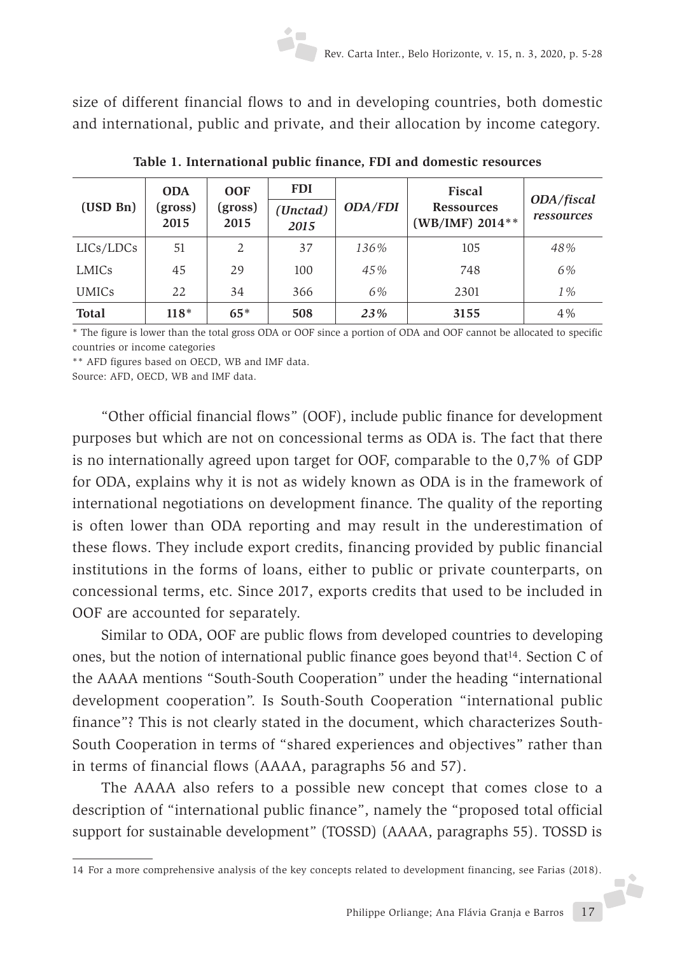size of different financial flows to and in developing countries, both domestic and international, public and private, and their allocation by income category.

| (USD Bn)     | <b>ODA</b><br>(gross)<br>2015 | <b>OOF</b><br>(gross)<br>2015 | <b>FDI</b><br>(Unctad)<br>2015 | <b>ODA/FDI</b> | <b>Fiscal</b><br><b>Ressources</b><br>$(WB/IMF) 2014***$ | ODA/fiscal<br>ressources |
|--------------|-------------------------------|-------------------------------|--------------------------------|----------------|----------------------------------------------------------|--------------------------|
| LICs/LDCs    | 51                            | 2                             | 37                             | 136%           | 105                                                      | 48%                      |
| LMICs        | 45                            | 29                            | 100                            | 45%            | 748                                                      | 6%                       |
| <b>UMICs</b> | 22                            | 34                            | 366                            | 6%             | 2301                                                     | $1\%$                    |
| <b>Total</b> | $118*$                        | $65*$                         | 508                            | 23%            | 3155                                                     | 4%                       |

**Table 1. International public finance, FDI and domestic resources**

\* The figure is lower than the total gross ODA or OOF since a portion of ODA and OOF cannot be allocated to specific countries or income categories

\*\* AFD figures based on OECD, WB and IMF data.

Source: AFD, OECD, WB and IMF data.

"Other official financial flows" (OOF), include public finance for development purposes but which are not on concessional terms as ODA is. The fact that there is no internationally agreed upon target for OOF, comparable to the 0,7% of GDP for ODA, explains why it is not as widely known as ODA is in the framework of international negotiations on development finance. The quality of the reporting is often lower than ODA reporting and may result in the underestimation of these flows. They include export credits, financing provided by public financial institutions in the forms of loans, either to public or private counterparts, on concessional terms, etc. Since 2017, exports credits that used to be included in OOF are accounted for separately.

Similar to ODA, OOF are public flows from developed countries to developing ones, but the notion of international public finance goes beyond that14. Section C of the AAAA mentions "South-South Cooperation" under the heading "international development cooperation". Is South-South Cooperation "international public finance"? This is not clearly stated in the document, which characterizes South-South Cooperation in terms of "shared experiences and objectives" rather than in terms of financial flows (AAAA, paragraphs 56 and 57).

The AAAA also refers to a possible new concept that comes close to a description of "international public finance", namely the "proposed total official support for sustainable development" (TOSSD) (AAAA, paragraphs 55). TOSSD is

Philippe Orliange; Ana Flávia Granja e Barros 17 14 For a more comprehensive analysis of the key concepts related to development financing, see Farias (2018).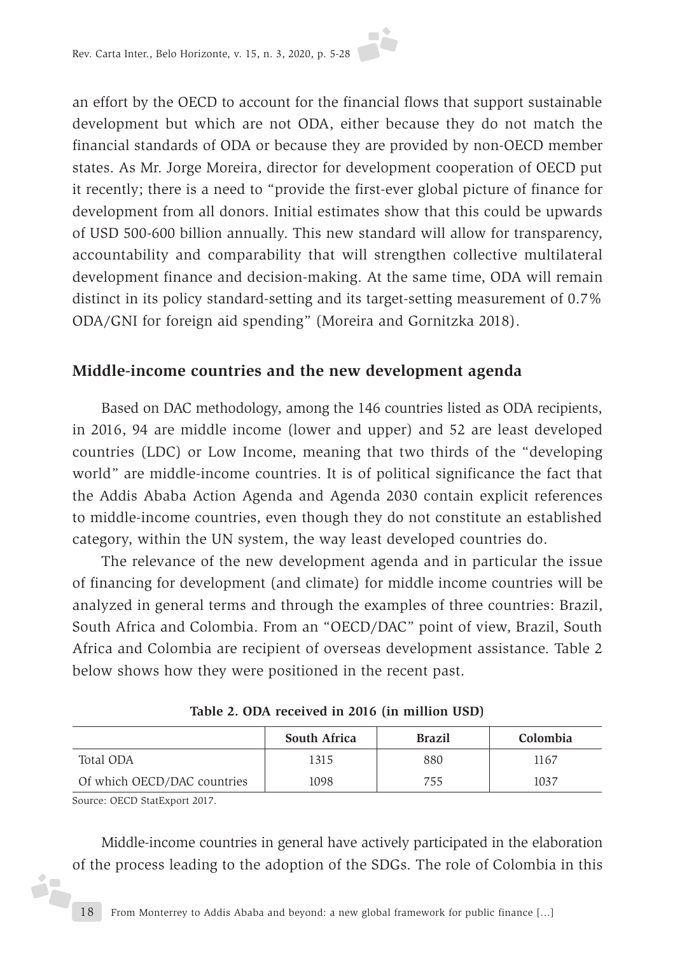an effort by the OECD to account for the financial flows that support sustainable development but which are not ODA, either because they do not match the financial standards of ODA or because they are provided by non-OECD member states. As Mr. Jorge Moreira, director for development cooperation of OECD put it recently; there is a need to "provide the first-ever global picture of finance for development from all donors. Initial estimates show that this could be upwards of USD 500-600 billion annually. This new standard will allow for transparency, accountability and comparability that will strengthen collective multilateral development finance and decision-making. At the same time, ODA will remain distinct in its policy standard-setting and its target-setting measurement of 0.7% ODA/GNI for foreign aid spending" (Moreira and Gornitzka 2018).

#### **Middle-income countries and the new development agenda**

Based on DAC methodology, among the 146 countries listed as ODA recipients, in 2016, 94 are middle income (lower and upper) and 52 are least developed countries (LDC) or Low Income, meaning that two thirds of the "developing world" are middle-income countries. It is of political significance the fact that the Addis Ababa Action Agenda and Agenda 2030 contain explicit references to middle-income countries, even though they do not constitute an established category, within the UN system, the way least developed countries do.

The relevance of the new development agenda and in particular the issue of financing for development (and climate) for middle income countries will be analyzed in general terms and through the examples of three countries: Brazil, South Africa and Colombia. From an "OECD/DAC" point of view, Brazil, South Africa and Colombia are recipient of overseas development assistance. Table 2 below shows how they were positioned in the recent past.

|                             | <b>South Africa</b> | <b>Brazil</b> | Colombia |
|-----------------------------|---------------------|---------------|----------|
| Total ODA                   | 1315                | 880           | 1167     |
| Of which OECD/DAC countries | 1098                | 755           | 1037     |

**Table 2. ODA received in 2016 (in million USD)**

Source: OECD StatExport 2017.

i7

Middle-income countries in general have actively participated in the elaboration of the process leading to the adoption of the SDGs. The role of Colombia in this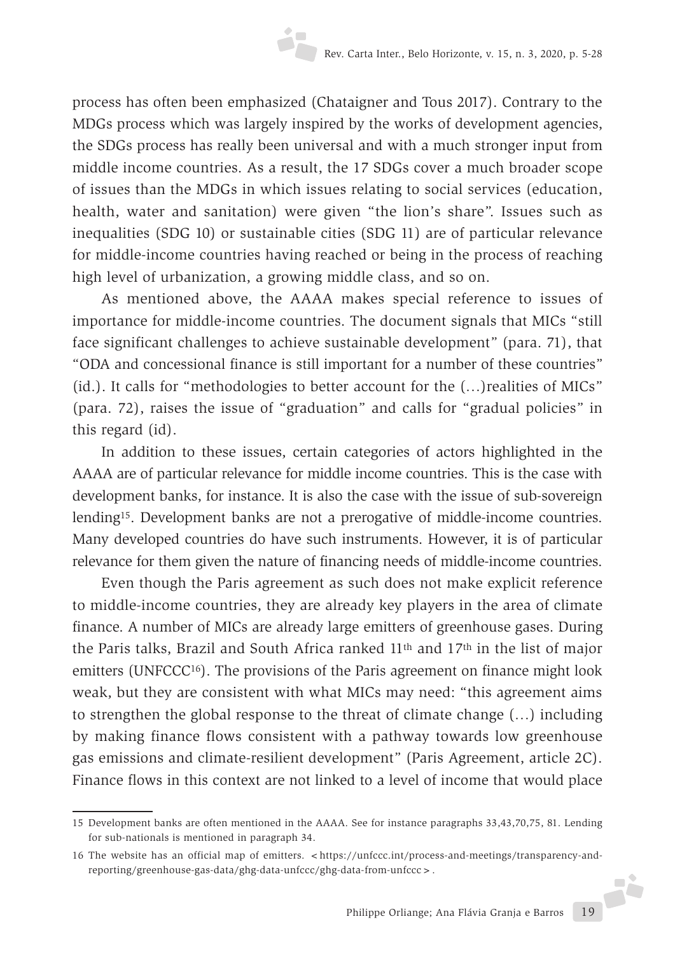process has often been emphasized (Chataigner and Tous 2017). Contrary to the MDGs process which was largely inspired by the works of development agencies, the SDGs process has really been universal and with a much stronger input from middle income countries. As a result, the 17 SDGs cover a much broader scope of issues than the MDGs in which issues relating to social services (education, health, water and sanitation) were given "the lion's share". Issues such as inequalities (SDG 10) or sustainable cities (SDG 11) are of particular relevance for middle-income countries having reached or being in the process of reaching high level of urbanization, a growing middle class, and so on.

As mentioned above, the AAAA makes special reference to issues of importance for middle-income countries. The document signals that MICs "still face significant challenges to achieve sustainable development" (para. 71), that "ODA and concessional finance is still important for a number of these countries" (id.). It calls for "methodologies to better account for the (…)realities of MICs" (para. 72), raises the issue of "graduation" and calls for "gradual policies" in this regard (id).

In addition to these issues, certain categories of actors highlighted in the AAAA are of particular relevance for middle income countries. This is the case with development banks, for instance. It is also the case with the issue of sub-sovereign lending<sup>15</sup>. Development banks are not a prerogative of middle-income countries. Many developed countries do have such instruments. However, it is of particular relevance for them given the nature of financing needs of middle-income countries.

Even though the Paris agreement as such does not make explicit reference to middle-income countries, they are already key players in the area of climate finance. A number of MICs are already large emitters of greenhouse gases. During the Paris talks, Brazil and South Africa ranked 11th and 17th in the list of major emitters (UNFCCC<sup>16</sup>). The provisions of the Paris agreement on finance might look weak, but they are consistent with what MICs may need: "this agreement aims to strengthen the global response to the threat of climate change (…) including by making finance flows consistent with a pathway towards low greenhouse gas emissions and climate-resilient development" (Paris Agreement, article 2C). Finance flows in this context are not linked to a level of income that would place

<sup>15</sup> Development banks are often mentioned in the AAAA. See for instance paragraphs 33,43,70,75, 81. Lending for sub-nationals is mentioned in paragraph 34.

<sup>16</sup> The website has an official map of emitters. <https://unfccc.int/process-and-meetings/transparency-andreporting/greenhouse-gas-data/ghg-data-unfccc/ghg-data-from-unfccc>.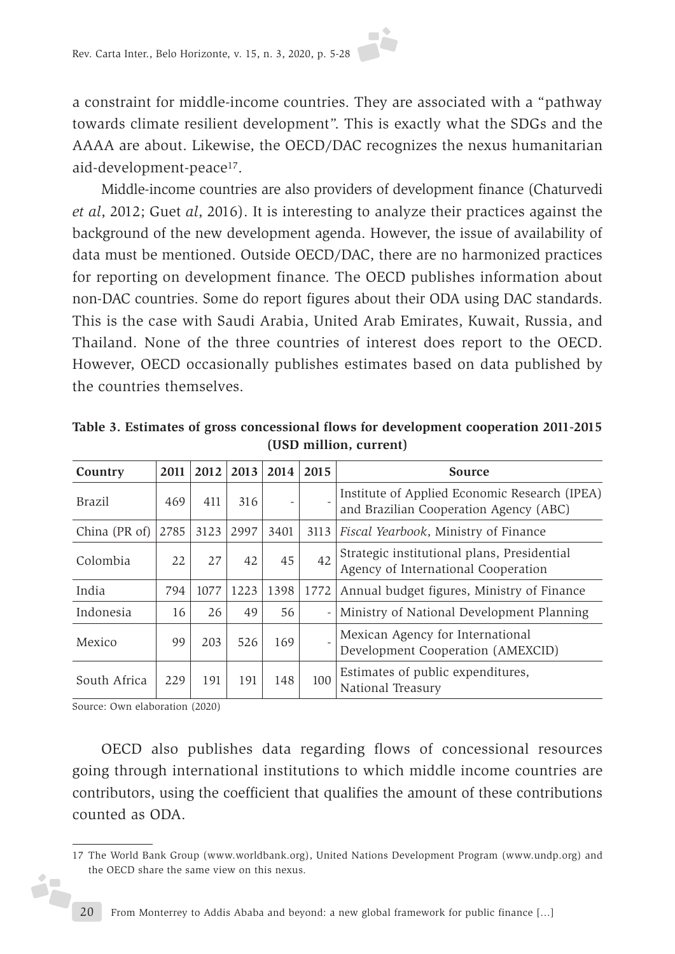a constraint for middle-income countries. They are associated with a "pathway towards climate resilient development". This is exactly what the SDGs and the AAAA are about. Likewise, the OECD/DAC recognizes the nexus humanitarian aid-development-peace17.

Middle-income countries are also providers of development finance (Chaturvedi *et al*, 2012; Guet *al*, 2016). It is interesting to analyze their practices against the background of the new development agenda. However, the issue of availability of data must be mentioned. Outside OECD/DAC, there are no harmonized practices for reporting on development finance. The OECD publishes information about non-DAC countries. Some do report figures about their ODA using DAC standards. This is the case with Saudi Arabia, United Arab Emirates, Kuwait, Russia, and Thailand. None of the three countries of interest does report to the OECD. However, OECD occasionally publishes estimates based on data published by the countries themselves.

| Country       | 2011 | 2012 | 2013 | 2014 | 2015 | <b>Source</b>                                                                           |
|---------------|------|------|------|------|------|-----------------------------------------------------------------------------------------|
| Brazil        | 469  | 411  | 316  |      |      | Institute of Applied Economic Research (IPEA)<br>and Brazilian Cooperation Agency (ABC) |
| China (PR of) | 2785 | 3123 | 2997 | 3401 | 3113 | Fiscal Yearbook, Ministry of Finance                                                    |
| Colombia      | 22   | 27   | 42   | 45   | 42   | Strategic institutional plans, Presidential<br>Agency of International Cooperation      |
| India         | 794  | 1077 | 1223 | 1398 | 1772 | Annual budget figures, Ministry of Finance                                              |
| Indonesia     | 16   | 26   | 49   | 56   |      | Ministry of National Development Planning                                               |
| Mexico        | 99   | 203  | 526  | 169  |      | Mexican Agency for International<br>Development Cooperation (AMEXCID)                   |
| South Africa  | 229  | 191  | 191  | 148  | 100  | Estimates of public expenditures,<br>National Treasury                                  |

**Table 3. Estimates of gross concessional flows for development cooperation 2011-2015 (USD million, current)**

Source: Own elaboration (2020)

Ď.

OECD also publishes data regarding flows of concessional resources going through international institutions to which middle income countries are contributors, using the coefficient that qualifies the amount of these contributions counted as ODA.

<sup>17</sup> The World Bank Group (www.worldbank.org), United Nations Development Program (www.undp.org) and the OECD share the same view on this nexus.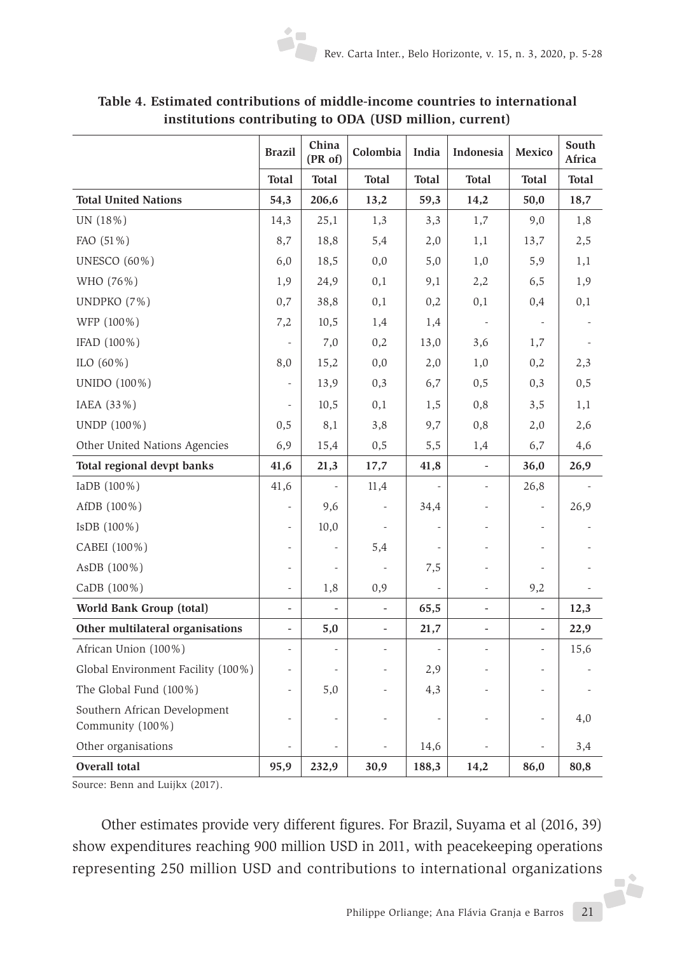|                                                  | <b>Brazil</b>                | China<br>(PR of)         | Colombia                     | India        | Indonesia                | Mexico                       | South<br>Africa |
|--------------------------------------------------|------------------------------|--------------------------|------------------------------|--------------|--------------------------|------------------------------|-----------------|
|                                                  | <b>Total</b>                 | <b>Total</b>             | <b>Total</b>                 | <b>Total</b> | <b>Total</b>             | <b>Total</b>                 | <b>Total</b>    |
| <b>Total United Nations</b>                      | 54,3                         | 206,6                    | 13,2                         | 59,3         | 14,2                     | 50,0                         | 18,7            |
| UN (18%)                                         | 14,3                         | 25,1                     | 1,3                          | 3,3          | 1,7                      | 9,0                          | 1,8             |
| FAO (51%)                                        | 8,7                          | 18,8                     | 5,4                          | 2,0          | 1,1                      | 13,7                         | 2,5             |
| UNESCO (60%)                                     | 6,0                          | 18,5                     | 0,0                          | 5,0          | 1,0                      | 5,9                          | 1,1             |
| WHO (76%)                                        | 1,9                          | 24,9                     | 0,1                          | 9,1          | 2,2                      | 6,5                          | 1,9             |
| UNDPKO (7%)                                      | 0,7                          | 38,8                     | 0,1                          | 0,2          | 0,1                      | 0,4                          | 0,1             |
| WFP (100%)                                       | 7,2                          | 10,5                     | 1,4                          | 1,4          |                          |                              |                 |
| IFAD (100%)                                      | ÷,                           | 7,0                      | 0,2                          | 13,0         | 3,6                      | 1,7                          |                 |
| ILO $(60\%)$                                     | 8,0                          | 15,2                     | 0,0                          | 2,0          | 1,0                      | 0,2                          | 2,3             |
| UNIDO (100%)                                     | $\overline{\phantom{a}}$     | 13,9                     | 0,3                          | 6,7          | 0,5                      | 0,3                          | 0,5             |
| IAEA (33%)                                       | $\overline{\phantom{a}}$     | 10,5                     | 0,1                          | 1,5          | 0,8                      | 3,5                          | 1,1             |
| UNDP (100%)                                      | 0,5                          | 8,1                      | 3,8                          | 9,7          | 0,8                      | 2,0                          | 2,6             |
| Other United Nations Agencies                    | 6,9                          | 15,4                     | 0,5                          | 5,5          | 1,4                      | 6,7                          | 4,6             |
| Total regional devpt banks                       | 41,6                         | 21,3                     | 17,7                         | 41,8         | $\overline{\phantom{a}}$ | 36,0                         | 26,9            |
| IaDB (100%)                                      | 41,6                         | $\overline{\phantom{0}}$ | 11,4                         |              | $\overline{\phantom{a}}$ | 26,8                         |                 |
| AfDB (100%)                                      | $\qquad \qquad \blacksquare$ | 9,6                      |                              | 34,4         |                          | $\overline{\phantom{m}}$     | 26,9            |
| IsDB (100%)                                      | $\overline{\phantom{a}}$     | 10,0                     |                              |              |                          | $\overline{\phantom{m}}$     |                 |
| CABEI (100%)                                     | $\overline{\phantom{a}}$     | -                        | 5,4                          |              |                          |                              |                 |
| AsDB (100%)                                      | $\qquad \qquad \blacksquare$ | $\overline{\phantom{m}}$ |                              | 7,5          |                          | $\overline{a}$               |                 |
| CaDB (100%)                                      | $\overline{\phantom{a}}$     | 1,8                      | 0,9                          |              | $\overline{\phantom{a}}$ | 9,2                          |                 |
| World Bank Group (total)                         | $\qquad \qquad \blacksquare$ | $\blacksquare$           | $\frac{1}{2}$                | 65,5         | $\overline{\phantom{a}}$ | $\qquad \qquad \blacksquare$ | 12,3            |
| Other multilateral organisations                 | $\qquad \qquad \blacksquare$ | 5,0                      | $\qquad \qquad \blacksquare$ | 21,7         | $\overline{\phantom{a}}$ | $\overline{\phantom{0}}$     | 22,9            |
| African Union (100%)                             | $\overline{\phantom{0}}$     |                          |                              |              |                          |                              | 15,6            |
| Global Environment Facility (100%)               | $\overline{\phantom{0}}$     |                          |                              | 2,9          |                          | $\overline{a}$               |                 |
| The Global Fund (100%)                           | -                            | 5,0                      |                              | 4,3          |                          | L.                           |                 |
| Southern African Development<br>Community (100%) | ÷,                           |                          |                              |              |                          |                              | 4,0             |
| Other organisations                              | L,                           |                          |                              | 14,6         |                          |                              | 3,4             |
| Overall total                                    | 95,9                         | 232,9                    | 30,9                         | 188,3        | 14,2                     | 86,0                         | 80,8            |

**Table 4. Estimated contributions of middle-income countries to international institutions contributing to ODA (USD million, current)**

Source: Benn and Luijkx (2017).

Philippe Orliange; Ana Flávia Granja e Barros 21 Other estimates provide very different figures. For Brazil, Suyama et al (2016, 39) show expenditures reaching 900 million USD in 2011, with peacekeeping operations representing 250 million USD and contributions to international organizations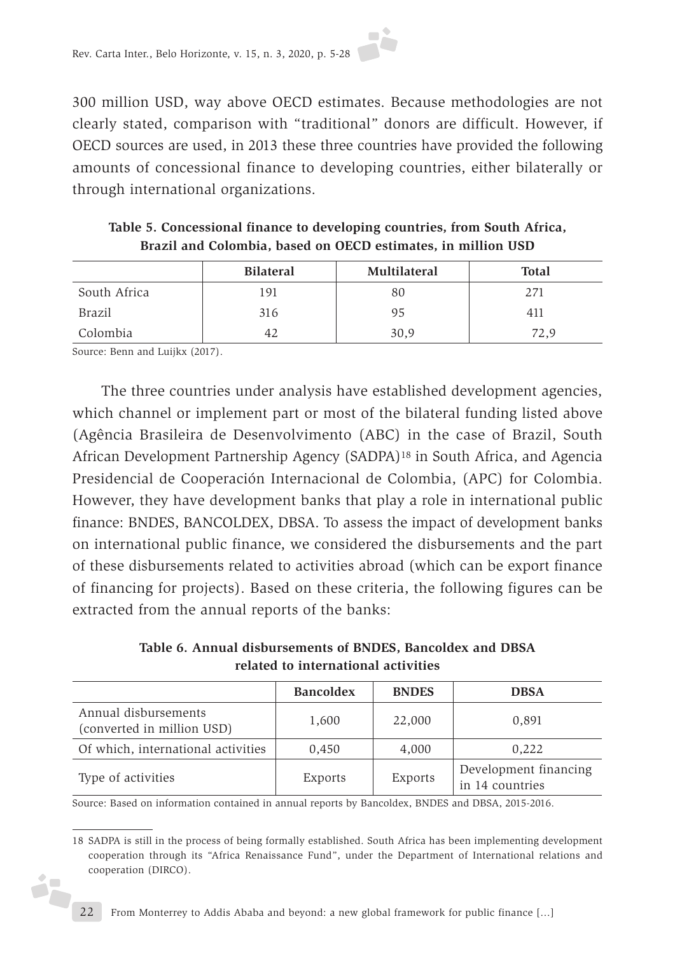300 million USD, way above OECD estimates. Because methodologies are not clearly stated, comparison with "traditional" donors are difficult. However, if OECD sources are used, in 2013 these three countries have provided the following amounts of concessional finance to developing countries, either bilaterally or through international organizations.

|               | <b>Bilateral</b> | Multilateral | <b>Total</b> |
|---------------|------------------|--------------|--------------|
| South Africa  | 191              | 80           | 271          |
| <b>Brazil</b> | 316              | 95           | 411          |
| Colombia      | 42               | 30,9         | 72,9         |

**Table 5. Concessional finance to developing countries, from South Africa, Brazil and Colombia, based on OECD estimates, in million USD**

Source: Benn and Luijkx (2017).

The three countries under analysis have established development agencies, which channel or implement part or most of the bilateral funding listed above (Agência Brasileira de Desenvolvimento (ABC) in the case of Brazil, South African Development Partnership Agency (SADPA)18 in South Africa, and Agencia Presidencial de Cooperación Internacional de Colombia, (APC) for Colombia. However, they have development banks that play a role in international public finance: BNDES, BANCOLDEX, DBSA. To assess the impact of development banks on international public finance, we considered the disbursements and the part of these disbursements related to activities abroad (which can be export finance of financing for projects). Based on these criteria, the following figures can be extracted from the annual reports of the banks:

**Table 6. Annual disbursements of BNDES, Bancoldex and DBSA related to international activities**

|                                                    | <b>Bancoldex</b> | <b>BNDES</b> | <b>DBSA</b>                              |
|----------------------------------------------------|------------------|--------------|------------------------------------------|
| Annual disbursements<br>(converted in million USD) | 1,600            | 22,000       | 0,891                                    |
| Of which, international activities                 | 0,450            | 4,000        | 0,222                                    |
| Type of activities                                 | Exports          | Exports      | Development financing<br>in 14 countries |

Source: Based on information contained in annual reports by Bancoldex, BNDES and DBSA, 2015-2016.

<sup>18</sup> SADPA is still in the process of being formally established. South Africa has been implementing development cooperation through its "Africa Renaissance Fund", under the Department of International relations and cooperation (DIRCO).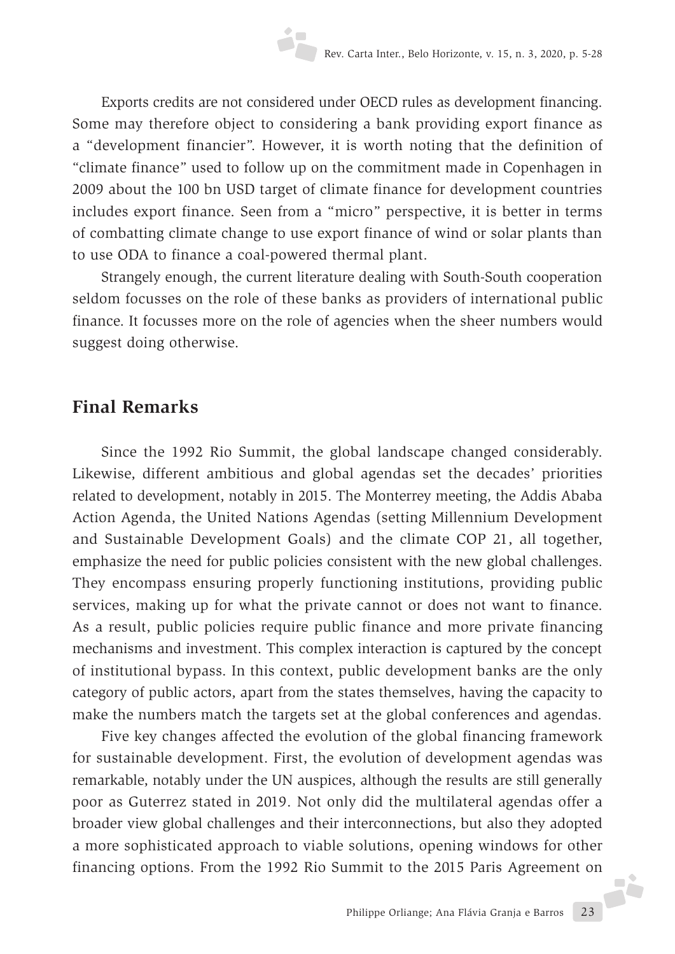Exports credits are not considered under OECD rules as development financing. Some may therefore object to considering a bank providing export finance as a "development financier". However, it is worth noting that the definition of "climate finance" used to follow up on the commitment made in Copenhagen in 2009 about the 100 bn USD target of climate finance for development countries includes export finance. Seen from a "micro" perspective, it is better in terms of combatting climate change to use export finance of wind or solar plants than to use ODA to finance a coal-powered thermal plant.

Strangely enough, the current literature dealing with South-South cooperation seldom focusses on the role of these banks as providers of international public finance. It focusses more on the role of agencies when the sheer numbers would suggest doing otherwise.

## **Final Remarks**

Since the 1992 Rio Summit, the global landscape changed considerably. Likewise, different ambitious and global agendas set the decades' priorities related to development, notably in 2015. The Monterrey meeting, the Addis Ababa Action Agenda, the United Nations Agendas (setting Millennium Development and Sustainable Development Goals) and the climate COP 21, all together, emphasize the need for public policies consistent with the new global challenges. They encompass ensuring properly functioning institutions, providing public services, making up for what the private cannot or does not want to finance. As a result, public policies require public finance and more private financing mechanisms and investment. This complex interaction is captured by the concept of institutional bypass. In this context, public development banks are the only category of public actors, apart from the states themselves, having the capacity to make the numbers match the targets set at the global conferences and agendas.

Philippe Orliange; Ana Flávia Granja e Barros 23 Five key changes affected the evolution of the global financing framework for sustainable development. First, the evolution of development agendas was remarkable, notably under the UN auspices, although the results are still generally poor as Guterrez stated in 2019. Not only did the multilateral agendas offer a broader view global challenges and their interconnections, but also they adopted a more sophisticated approach to viable solutions, opening windows for other financing options. From the 1992 Rio Summit to the 2015 Paris Agreement on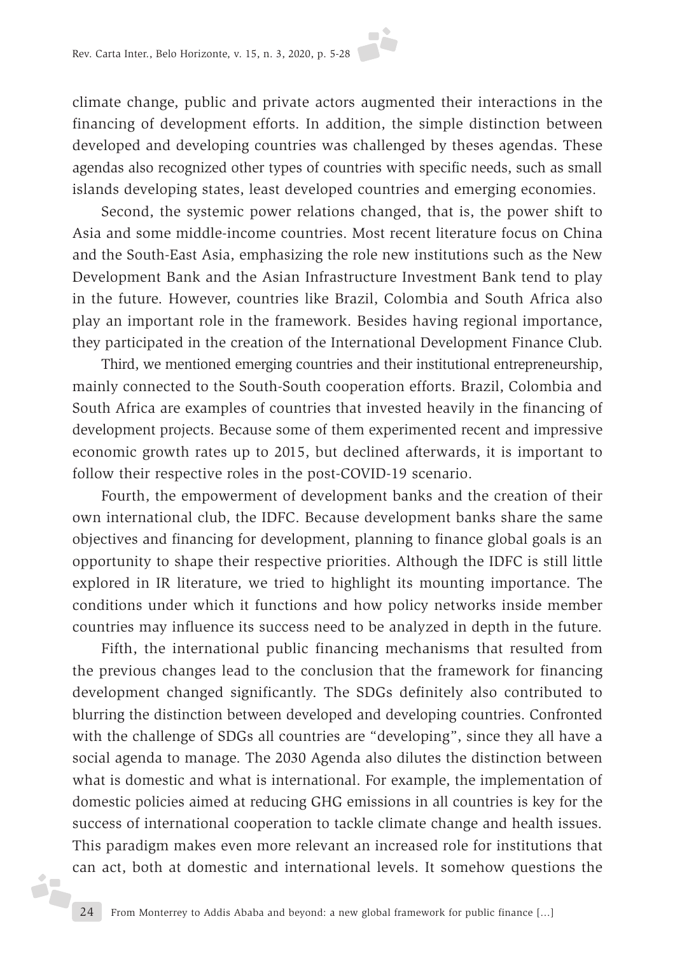climate change, public and private actors augmented their interactions in the financing of development efforts. In addition, the simple distinction between developed and developing countries was challenged by theses agendas. These agendas also recognized other types of countries with specific needs, such as small islands developing states, least developed countries and emerging economies.

Second, the systemic power relations changed, that is, the power shift to Asia and some middle-income countries. Most recent literature focus on China and the South-East Asia, emphasizing the role new institutions such as the New Development Bank and the Asian Infrastructure Investment Bank tend to play in the future. However, countries like Brazil, Colombia and South Africa also play an important role in the framework. Besides having regional importance, they participated in the creation of the International Development Finance Club.

Third, we mentioned emerging countries and their institutional entrepreneurship, mainly connected to the South-South cooperation efforts. Brazil, Colombia and South Africa are examples of countries that invested heavily in the financing of development projects. Because some of them experimented recent and impressive economic growth rates up to 2015, but declined afterwards, it is important to follow their respective roles in the post-COVID-19 scenario.

Fourth, the empowerment of development banks and the creation of their own international club, the IDFC. Because development banks share the same objectives and financing for development, planning to finance global goals is an opportunity to shape their respective priorities. Although the IDFC is still little explored in IR literature, we tried to highlight its mounting importance. The conditions under which it functions and how policy networks inside member countries may influence its success need to be analyzed in depth in the future.

Fifth, the international public financing mechanisms that resulted from the previous changes lead to the conclusion that the framework for financing development changed significantly. The SDGs definitely also contributed to blurring the distinction between developed and developing countries. Confronted with the challenge of SDGs all countries are "developing", since they all have a social agenda to manage. The 2030 Agenda also dilutes the distinction between what is domestic and what is international. For example, the implementation of domestic policies aimed at reducing GHG emissions in all countries is key for the success of international cooperation to tackle climate change and health issues. This paradigm makes even more relevant an increased role for institutions that can act, both at domestic and international levels. It somehow questions the

éF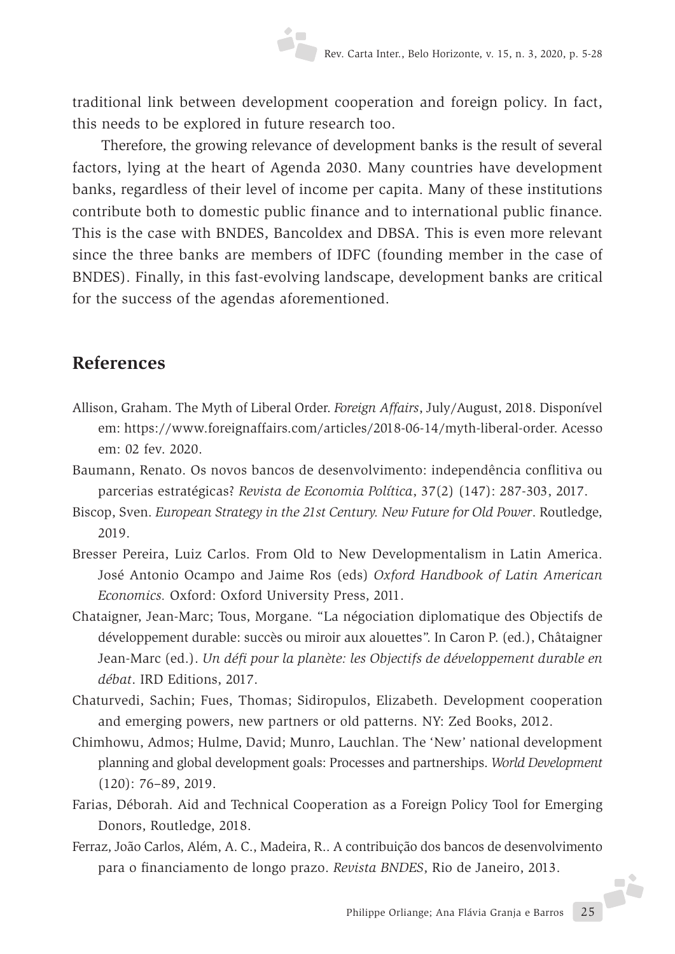traditional link between development cooperation and foreign policy. In fact, this needs to be explored in future research too.

Therefore, the growing relevance of development banks is the result of several factors, lying at the heart of Agenda 2030. Many countries have development banks, regardless of their level of income per capita. Many of these institutions contribute both to domestic public finance and to international public finance. This is the case with BNDES, Bancoldex and DBSA. This is even more relevant since the three banks are members of IDFC (founding member in the case of BNDES). Finally, in this fast-evolving landscape, development banks are critical for the success of the agendas aforementioned.

# **References**

- Allison, Graham. The Myth of Liberal Order. *Foreign Affairs*, July/August, 2018. Disponível em: https://www.foreignaffairs.com/articles/2018-06-14/myth-liberal-order. Acesso em: 02 fev. 2020.
- Baumann, Renato. Os novos bancos de desenvolvimento: independência conflitiva ou parcerias estratégicas? *Revista de Economia Política*, 37(2) (147): 287-303, 2017.
- Biscop, Sven. *European Strategy in the 21st Century. New Future for Old Power*. Routledge, 2019.
- Bresser Pereira, Luiz Carlos. From Old to New Developmentalism in Latin America. José Antonio Ocampo and Jaime Ros (eds) *Oxford Handbook of Latin American Economics.* Oxford: Oxford University Press, 2011.
- Chataigner, Jean-Marc; Tous, Morgane. "La négociation diplomatique des Objectifs de développement durable: succès ou miroir aux alouettes". In Caron P. (ed.), Châtaigner Jean-Marc (ed.). *Un défi pour la planète: les Objectifs de développement durable en débat*. IRD Editions, 2017.
- Chaturvedi, Sachin; Fues, Thomas; Sidiropulos, Elizabeth. Development cooperation and emerging powers, new partners or old patterns. NY: Zed Books, 2012.
- Chimhowu, Admos; Hulme, David; Munro, Lauchlan. The 'New' national development planning and global development goals: Processes and partnerships. *World Development* (120): 76–89, 2019.
- Farias, Déborah. Aid and Technical Cooperation as a Foreign Policy Tool for Emerging Donors, Routledge, 2018.
- Ferraz, João Carlos, Além, A. C., Madeira, R.. A contribuição dos bancos de desenvolvimento para o financiamento de longo prazo. *Revista BNDES*, Rio de Janeiro, 2013.

Philippe Orliange; Ana Flávia Granja e Barros 25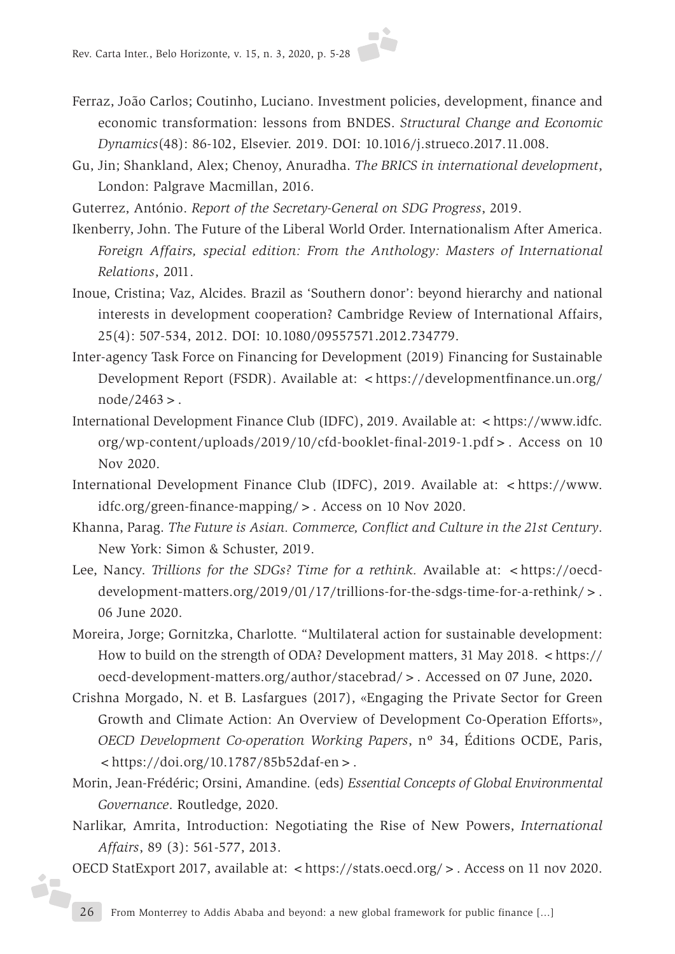- Ferraz, João Carlos; Coutinho, Luciano. Investment policies, development, finance and economic transformation: lessons from BNDES. *Structural Change and Economic Dynamics*(48): 86-102, Elsevier. 2019. DOI: 10.1016/j.strueco.2017.11.008.
- Gu, Jin; Shankland, Alex; Chenoy, Anuradha. *The BRICS in international development*, London: Palgrave Macmillan, 2016.
- Guterrez, António. *Report of the Secretary-General on SDG Progress*, 2019.
- Ikenberry, John. The Future of the Liberal World Order. Internationalism After America. *Foreign Affairs, special edition: From the Anthology: Masters of International Relations*, 2011.
- Inoue, Cristina; Vaz, Alcides. Brazil as 'Southern donor': beyond hierarchy and national interests in development cooperation? Cambridge Review of International Affairs, 25(4): 507-534, 2012. DOI: 10.1080/09557571.2012.734779.
- Inter-agency Task Force on Financing for Development (2019) Financing for Sustainable Development Report (FSDR). Available at: <https://developmentfinance.un.org/ node/2463>.
- International Development Finance Club (IDFC), 2019. Available at: <https://www.idfc. org/wp-content/uploads/2019/10/cfd-booklet-final-2019-1.pdf>. Access on 10 Nov 2020.
- International Development Finance Club (IDFC), 2019. Available at: <https://www. idfc.org/green-finance-mapping/>. Access on 10 Nov 2020.
- Khanna, Parag. *The Future is Asian. Commerce, Conflict and Culture in the 21st Century*. New York: Simon & Schuster, 2019.
- Lee, Nancy. *Trillions for the SDGs? Time for a rethink*. Available at: <https://oecddevelopment-matters.org/2019/01/17/trillions-for-the-sdgs-time-for-a-rethink/>. 06 June 2020.
- Moreira, Jorge; Gornitzka, Charlotte. "Multilateral action for sustainable development: How to build on the strength of ODA? Development matters, 31 May 2018. <https:// oecd-development-matters.org/author/stacebrad/>. Accessed on 07 June, 2020**.**
- Crishna Morgado, N. et B. Lasfargues (2017), «Engaging the Private Sector for Green Growth and Climate Action: An Overview of Development Co-Operation Efforts», *OECD Development Co-operation Working Papers*, nº 34, Éditions OCDE, Paris,  $\langle \text{https://doi.org/10.1787/85b52} \text{da} \text{f-en} \rangle$ .
- Morin, Jean-Frédéric; Orsini, Amandine. (eds) *Essential Concepts of Global Environmental Governance*. Routledge, 2020.
- Narlikar, Amrita, Introduction: Negotiating the Rise of New Powers, *International Affairs*, 89 (3): 561-577, 2013.
- OECD StatExport 2017, available at: <https://stats.oecd.org/>. Access on 11 nov 2020.

óF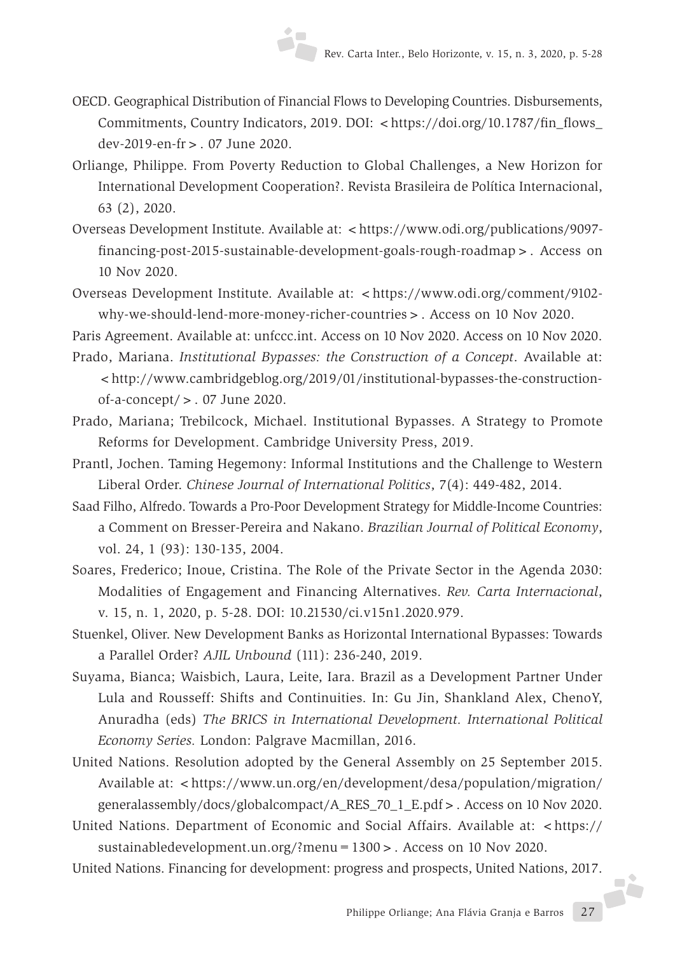- OECD. Geographical Distribution of Financial Flows to Developing Countries. Disbursements, Commitments, Country Indicators, 2019. DOI: <https://doi.org/10.1787/fin\_flows\_ dev-2019-en-fr>. 07 June 2020.
- Orliange, Philippe. From Poverty Reduction to Global Challenges, a New Horizon for International Development Cooperation?. Revista Brasileira de Política Internacional, 63 (2), 2020.
- Overseas Development Institute. Available at: <https://www.odi.org/publications/9097financing-post-2015-sustainable-development-goals-rough-roadmap>. Access on 10 Nov 2020.
- Overseas Development Institute. Available at: <https://www.odi.org/comment/9102why-we-should-lend-more-money-richer-countries>. Access on 10 Nov 2020.

Paris Agreement. Available at: unfccc.int. Access on 10 Nov 2020. Access on 10 Nov 2020.

- Prado, Mariana. *Institutional Bypasses: the Construction of a Concept*. Available at: <http://www.cambridgeblog.org/2019/01/institutional-bypasses-the-constructionof-a-concept/>. 07 June 2020.
- Prado, Mariana; Trebilcock, Michael. Institutional Bypasses. A Strategy to Promote Reforms for Development. Cambridge University Press, 2019.
- Prantl, Jochen. Taming Hegemony: Informal Institutions and the Challenge to Western Liberal Order. *Chinese Journal of International Politics*, 7(4): 449-482, 2014.
- Saad Filho, Alfredo. Towards a Pro-Poor Development Strategy for Middle-Income Countries: a Comment on Bresser-Pereira and Nakano. *Brazilian Journal of Political Economy*, vol. 24, 1 (93): 130-135, 2004.
- Soares, Frederico; Inoue, Cristina. The Role of the Private Sector in the Agenda 2030: Modalities of Engagement and Financing Alternatives. *Rev. Carta Internacional*, v. 15, n. 1, 2020, p. 5-28. DOI: 10.21530/ci.v15n1.2020.979.
- Stuenkel, Oliver. New Development Banks as Horizontal International Bypasses: Towards a Parallel Order? *AJIL Unbound* (111): 236-240, 2019.
- Suyama, Bianca; Waisbich, Laura, Leite, Iara. Brazil as a Development Partner Under Lula and Rousseff: Shifts and Continuities. In: Gu Jin, Shankland Alex, ChenoY, Anuradha (eds) *The BRICS in International Development. International Political Economy Series.* London: Palgrave Macmillan, 2016.
- United Nations. Resolution adopted by the General Assembly on 25 September 2015. Available at: <https://www.un.org/en/development/desa/population/migration/ generalassembly/docs/globalcompact/A\_RES\_70\_1\_E.pdf>. Access on 10 Nov 2020.
- United Nations. Department of Economic and Social Affairs. Available at: < https:// sustainabledevelopment.un.org/?menu=1300>. Access on 10 Nov 2020.

Philippe Orliange; Ana Flávia Granja e Barros 27 United Nations. Financing for development: progress and prospects, United Nations, 2017.